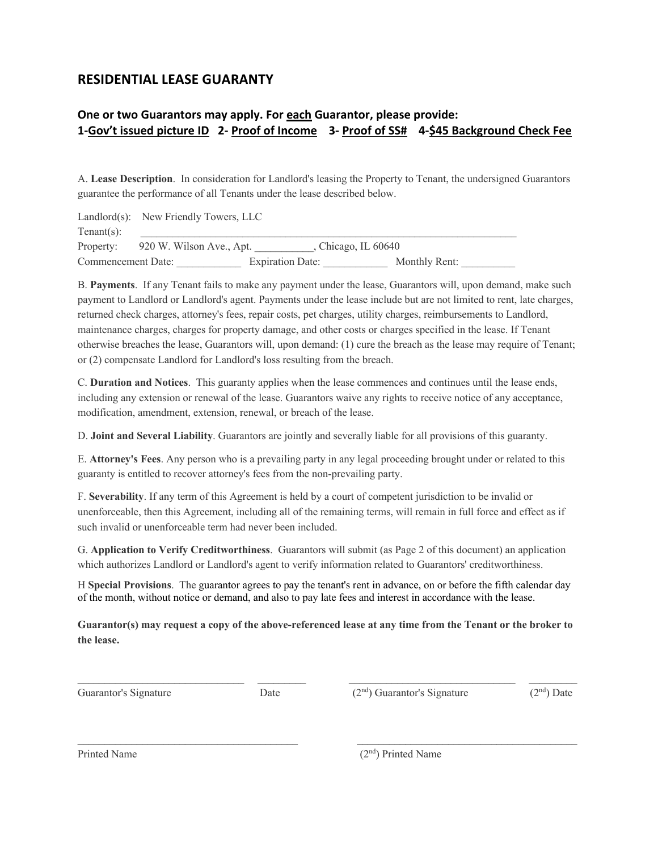## **RESIDENTIAL LEASE GUARANTY**

## **One or two Guarantors may apply. For each Guarantor, please provide: 1-Gov't issued picture ID 2- Proof of Income 3- Proof of SS# 4-\$45 Background Check Fee**

A. **Lease Description**. In consideration for Landlord's leasing the Property to Tenant, the undersigned Guarantors guarantee the performance of all Tenants under the lease described below.

|                    | Landlord(s): New Friendly Towers, LLC |                         |                       |  |
|--------------------|---------------------------------------|-------------------------|-----------------------|--|
| Tenant $(s)$ :     |                                       |                         |                       |  |
|                    | Property: 920 W. Wilson Ave., Apt.    |                         | , Chicago, IL $60640$ |  |
| Commencement Date: |                                       | <b>Expiration Date:</b> | Monthly Rent:         |  |

B. **Payments**. If any Tenant fails to make any payment under the lease, Guarantors will, upon demand, make such payment to Landlord or Landlord's agent. Payments under the lease include but are not limited to rent, late charges, returned check charges, attorney's fees, repair costs, pet charges, utility charges, reimbursements to Landlord, maintenance charges, charges for property damage, and other costs or charges specified in the lease. If Tenant otherwise breaches the lease, Guarantors will, upon demand: (1) cure the breach as the lease may require of Tenant; or (2) compensate Landlord for Landlord's loss resulting from the breach.

C. **Duration and Notices**. This guaranty applies when the lease commences and continues until the lease ends, including any extension or renewal of the lease. Guarantors waive any rights to receive notice of any acceptance, modification, amendment, extension, renewal, or breach of the lease.

D. **Joint and Several Liability**. Guarantors are jointly and severally liable for all provisions of this guaranty.

E. **Attorney's Fees**. Any person who is a prevailing party in any legal proceeding brought under or related to this guaranty is entitled to recover attorney's fees from the non-prevailing party.

F. **Severability**. If any term of this Agreement is held by a court of competent jurisdiction to be invalid or unenforceable, then this Agreement, including all of the remaining terms, will remain in full force and effect as if such invalid or unenforceable term had never been included.

G. **Application to Verify Creditworthiness**. Guarantors will submit (as Page 2 of this document) an application which authorizes Landlord or Landlord's agent to verify information related to Guarantors' creditworthiness.

H **Special Provisions**. The guarantor agrees to pay the tenant's rent in advance, on or before the fifth calendar day of the month, without notice or demand, and also to pay late fees and interest in accordance with the lease.

**Guarantor(s) may request a copy of the above-referenced lease at any time from the Tenant or the broker to the lease.**

Guarantor's Signature Date (2<sup>nd</sup>) Guarantor's Signature (2<sup>nd</sup>) Date (2<sup>nd</sup>) Date

Printed Name (2<sup>nd</sup>) Printed Name (2<sup>nd</sup>) Printed Name